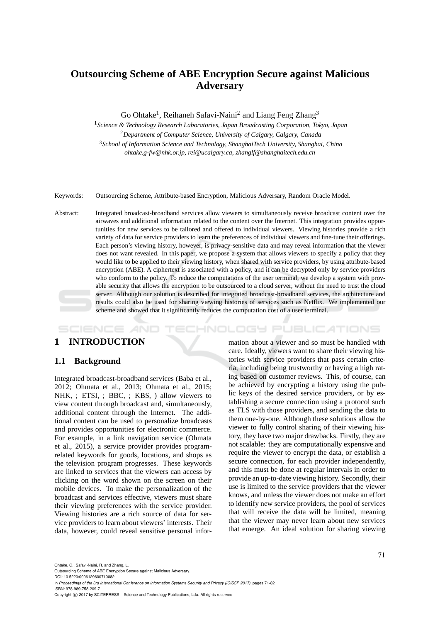# **Outsourcing Scheme of ABE Encryption Secure against Malicious Adversary**

Go Ohtake<sup>1</sup>, Reihaneh Safavi-Naini<sup>2</sup> and Liang Feng Zhang<sup>3</sup>

*Science & Technology Research Laboratories, Japan Broadcasting Corporation, Tokyo, Japan Department of Computer Science, University of Calgary, Calgary, Canada School of Information Science and Technology, ShanghaiTech University, Shanghai, China ohtake.g-fw@nhk.or.jp, rei@ucalgary.ca, zhanglf@shanghaitech.edu.cn*

Keywords: Outsourcing Scheme, Attribute-based Encryption, Malicious Adversary, Random Oracle Model.

Abstract: Integrated broadcast-broadband services allow viewers to simultaneously receive broadcast content over the airwaves and additional information related to the content over the Internet. This integration provides opportunities for new services to be tailored and offered to individual viewers. Viewing histories provide a rich variety of data for service providers to learn the preferences of individual viewers and fine-tune their offerings. Each person's viewing history, however, is privacy-sensitive data and may reveal information that the viewer does not want revealed. In this paper, we propose a system that allows viewers to specify a policy that they would like to be applied to their viewing history, when shared with service providers, by using attribute-based encryption (ABE). A ciphertext is associated with a policy, and it can be decrypted only by service providers who conform to the policy. To reduce the computations of the user terminal, we develop a system with provable security that allows the encryption to be outsourced to a cloud server, without the need to trust the cloud server. Although our solution is described for integrated broadcast-broadband services, the architecture and results could also be used for sharing viewing histories of services such as Netflix. We implemented our scheme and showed that it significantly reduces the computation cost of a user terminal.

#### HNOLOGY PUBLICATIONS SCIENCE *A*ND

# **1 INTRODUCTION**

## **1.1 Background**

Integrated broadcast-broadband services (Baba et al., 2012; Ohmata et al., 2013; Ohmata et al., 2015; NHK, ; ETSI, ; BBC, ; KBS, ) allow viewers to view content through broadcast and, simultaneously, additional content through the Internet. The additional content can be used to personalize broadcasts and provides opportunities for electronic commerce. For example, in a link navigation service (Ohmata et al., 2015), a service provider provides programrelated keywords for goods, locations, and shops as the television program progresses. These keywords are linked to services that the viewers can access by clicking on the word shown on the screen on their mobile devices. To make the personalization of the broadcast and services effective, viewers must share their viewing preferences with the service provider. Viewing histories are a rich source of data for service providers to learn about viewers' interests. Their data, however, could reveal sensitive personal infor-

mation about a viewer and so must be handled with care. Ideally, viewers want to share their viewing histories with service providers that pass certain criteria, including being trustworthy or having a high rating based on customer reviews. This, of course, can be achieved by encrypting a history using the public keys of the desired service providers, or by establishing a secure connection using a protocol such as TLS with those providers, and sending the data to them one-by-one. Although these solutions allow the viewer to fully control sharing of their viewing history, they have two major drawbacks. Firstly, they are not scalable: they are computationally expensive and require the viewer to encrypt the data, or establish a secure connection, for each provider independently, and this must be done at regular intervals in order to provide an up-to-date viewing history. Secondly, their use is limited to the service providers that the viewer knows, and unless the viewer does not make an effort to identify new service providers, the pool of services that will receive the data will be limited, meaning that the viewer may never learn about new services that emerge. An ideal solution for sharing viewing

Ohtake, G., Safavi-Naini, R. and Zhang, L.

Outsourcing Scheme of ABE Encryption Secure against Malicious Adversary.

DOI: 10.5220/0006129600710082

In *Proceedings of the 3rd International Conference on Information Systems Security and Privacy (ICISSP 2017)*, pages 71-82 ISBN: 978-989-758-209-7

Copyright © 2017 by SCITEPRESS - Science and Technology Publications, Lda. All rights reserved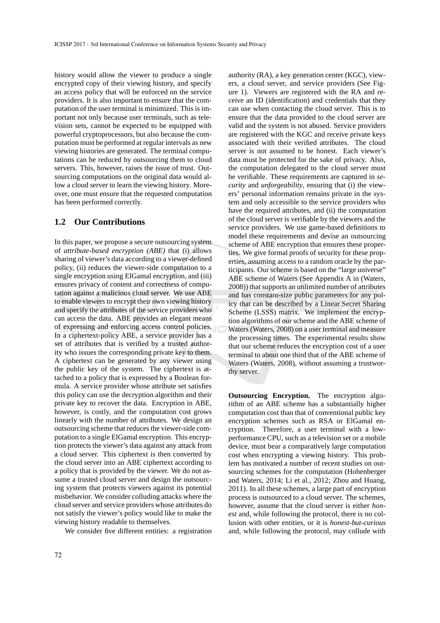history would allow the viewer to produce a single encrypted copy of their viewing history, and specify an access policy that will be enforced on the service providers. It is also important to ensure that the computation of the user terminal is minimized. This is important not only because user terminals, such as television sets, cannot be expected to be equipped with powerful cryptoprocessors, but also because the computation must be performed at regular intervals as new viewing histories are generated. The terminal computations can be reduced by outsourcing them to cloud servers. This, however, raises the issue of trust. Outsourcing computations on the original data would allow a cloud server to learn the viewing history. Moreover, one must ensure that the requested computation has been performed correctly.

#### **1.2 Our Contributions**

In this paper, we propose a secure outsourcing system of *attribute-based encryption (ABE)* that (i) allows sharing of viewer's data according to a viewer-defined policy, (ii) reduces the viewer-side computation to a single encryption using ElGamal encryption, and (iii) ensures privacy of content and correctness of computation against a malicious cloud server. We use ABE to enable viewers to encrypt their own viewing history and specify the attributes of the service providers who can access the data. ABE provides an elegant means of expressing and enforcing access control policies. In a ciphertext-policy ABE, a service provider has a set of attributes that is verified by a trusted authority who issues the corresponding private key to them. A ciphertext can be generated by any viewer using the public key of the system. The ciphertext is attached to a policy that is expressed by a Boolean formula. A service provider whose attribute set satisfies this policy can use the decryption algorithm and their private key to recover the data. Encryption in ABE, however, is costly, and the computation cost grows linearly with the number of attributes. We design an outsourcing scheme that reduces the viewer-side computation to a single ElGamal encryption. This encryption protects the viewer's data against any attack from a cloud server. This ciphertext is then converted by the cloud server into an ABE ciphertext according to a policy that is provided by the viewer. We do not assume a trusted cloud server and design the outsourcing system that protects viewers against its potential misbehavior. We consider colluding attacks where the cloud server and service providers whose attributes do not satisfy the viewer's policy would like to make the viewing history readable to themselves.

We consider five different entities: a registration

authority (RA), a key generation center (KGC), viewers, a cloud server, and service providers (See Figure 1). Viewers are registered with the RA and receive an ID (identification) and credentials that they can use when contacting the cloud server. This is to ensure that the data provided to the cloud server are valid and the system is not abused. Service providers are registered with the KGC and receive private keys associated with their verified attributes. The cloud server is not assumed to be honest. Each viewer's data must be protected for the sake of privacy. Also, the computation delegated to the cloud server must be verifiable. These requirements are captured in *security* and *unforgeability*, ensuring that (i) the viewers' personal information remains private in the system and only accessible to the service providers who have the required attributes, and (ii) the computation of the cloud server is verifiable by the viewers and the service providers. We use game-based definitions to model these requirements and devise an outsourcing scheme of ABE encryption that ensures these properties. We give formal proofs of security for these properties, assuming access to a random oracle by the participants. Our scheme is based on the "large universe" ABE scheme of Waters (See Appendix A in (Waters, 2008)) that supports an unlimited number of attributes and has constant-size public parameters for any policy that can be described by a Linear Secret Sharing Scheme (LSSS) matrix. We implement the encryption algorithms of our scheme and the ABE scheme of Waters (Waters, 2008) on a user terminal and measure the processing times. The experimental results show that our scheme reduces the encryption cost of a user terminal to about one third that of the ABE scheme of Waters (Waters, 2008), without assuming a trustworthy server.

**Outsourcing Encryption.** The encryption algorithm of an ABE scheme has a substantially higher computation cost than that of conventional public key encryption schemes such as RSA or ElGamal encryption. Therefore, a user terminal with a lowperformance CPU, such as a television set or a mobile device, must bear a comparatively large computation cost when encrypting a viewing history. This problem has motivated a number of recent studies on outsourcing schemes for the computation (Hohenberger and Waters, 2014; Li et al., 2012; Zhou and Huang, 2011). In all these schemes, a large part of encryption process is outsourced to a cloud server. The schemes, however, assume that the cloud server is either *honest* and, while following the protocol, there is no collusion with other entities, or it is *honest-but-curious* and, while following the protocol, may collude with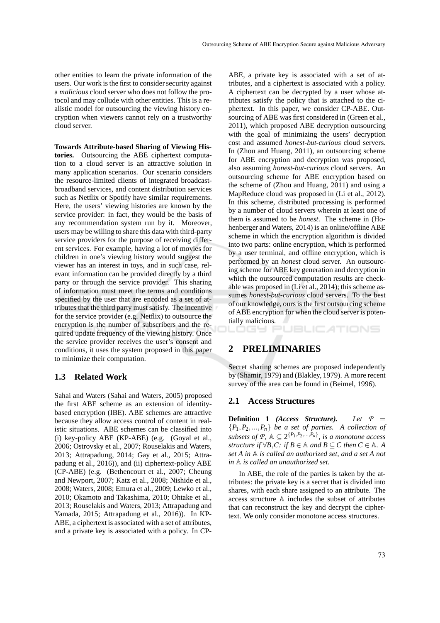other entities to learn the private information of the users. Our work is the first to consider security against a *malicious* cloud server who does not follow the protocol and may collude with other entities. This is a realistic model for outsourcing the viewing history encryption when viewers cannot rely on a trustworthy cloud server.

**Towards Attribute-based Sharing of Viewing Histories.** Outsourcing the ABE ciphertext computation to a cloud server is an attractive solution in many application scenarios. Our scenario considers the resource-limited clients of integrated broadcastbroadband services, and content distribution services such as Netflix or Spotify have similar requirements. Here, the users' viewing histories are known by the service provider: in fact, they would be the basis of any recommendation system run by it. Moreover, users may be willing to share this data with third-party service providers for the purpose of receiving different services. For example, having a lot of movies for children in one's viewing history would suggest the viewer has an interest in toys, and in such case, relevant information can be provided directly by a third party or through the service provider. This sharing of information must meet the terms and conditions specified by the user that are encoded as a set of attributes that the third party must satisfy. The incentive for the service provider (e.g. Netflix) to outsource the encryption is the number of subscribers and the required update frequency of the viewing history. Once the service provider receives the user's consent and conditions, it uses the system proposed in this paper to minimize their computation.

#### **1.3 Related Work**

Sahai and Waters (Sahai and Waters, 2005) proposed the first ABE scheme as an extension of identitybased encryption (IBE). ABE schemes are attractive because they allow access control of content in realistic situations. ABE schemes can be classified into (i) key-policy ABE (KP-ABE) (e.g. (Goyal et al., 2006; Ostrovsky et al., 2007; Rouselakis and Waters, 2013; Attrapadung, 2014; Gay et al., 2015; Attrapadung et al., 2016)), and (ii) ciphertext-policy ABE (CP-ABE) (e.g. (Bethencourt et al., 2007; Cheung and Newport, 2007; Katz et al., 2008; Nishide et al., 2008; Waters, 2008; Emura et al., 2009; Lewko et al., 2010; Okamoto and Takashima, 2010; Ohtake et al., 2013; Rouselakis and Waters, 2013; Attrapadung and Yamada, 2015; Attrapadung et al., 2016)). In KP-ABE, a ciphertext is associated with a set of attributes, and a private key is associated with a policy. In CP-

ABE, a private key is associated with a set of attributes, and a ciphertext is associated with a policy. A ciphertext can be decrypted by a user whose attributes satisfy the policy that is attached to the ciphertext. In this paper, we consider CP-ABE. Outsourcing of ABE was first considered in (Green et al., 2011), which proposed ABE decryption outsourcing with the goal of minimizing the users' decryption cost and assumed *honest-but-curious* cloud servers. In (Zhou and Huang, 2011), an outsourcing scheme for ABE encryption and decryption was proposed, also assuming *honest-but-curious* cloud servers. An outsourcing scheme for ABE encryption based on the scheme of (Zhou and Huang, 2011) and using a MapReduce cloud was proposed in (Li et al., 2012). In this scheme, distributed processing is performed by a number of cloud servers wherein at least one of them is assumed to be *honest*. The scheme in (Hohenberger and Waters, 2014) is an online/offline ABE scheme in which the encryption algorithm is divided into two parts: online encryption, which is performed by a user terminal, and offline encryption, which is performed by an *honest* cloud server. An outsourcing scheme for ABE key generation and decryption in which the outsourced computation results are checkable was proposed in (Li et al., 2014); this scheme assumes *honest-but-curious* cloud servers. To the best of our knowledge, ours is the first outsourcing scheme of ABE encryption for when the cloud server is potentially malicious.

# **2 PRELIMINARIES**

Secret sharing schemes are proposed independently by (Shamir, 1979) and (Blakley, 1979). A more recent survey of the area can be found in (Beimel, 1996).

LOGY PUBLIC*A*TIONS

## **2.1 Access Structures**

**Definition 1** *(Access Structure). Let P* =  ${P_1, P_2, ..., P_n}$  *be a set of parties.* A collection of *subsets of*  $P$ ,  $A \subseteq 2^{\{P_1, P_2, ..., P_n\}}$ , *is a monotone access structure if*  $\forall B, C$ : *if*  $B \in \mathbb{A}$  *and*  $B \subseteq C$  *then*  $C \in \mathbb{A}$ *. A set A in* A *is called an authorized set, and a set A not in* A *is called an unauthorized set.*

In ABE, the role of the parties is taken by the attributes: the private key is a secret that is divided into shares, with each share assigned to an attribute. The access structure A includes the subset of attributes that can reconstruct the key and decrypt the ciphertext. We only consider monotone access structures.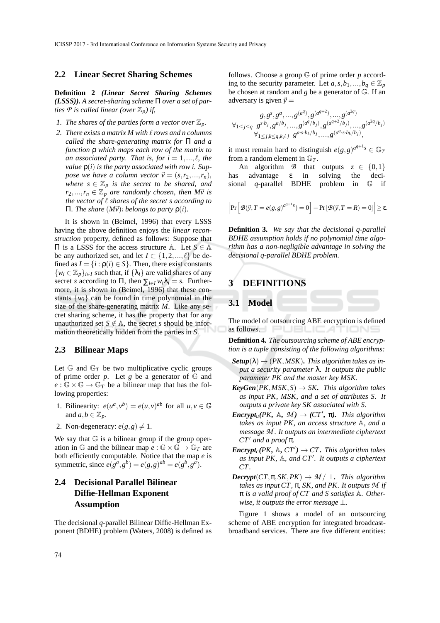#### **2.2 Linear Secret Sharing Schemes**

**Definition 2** *(Linear Secret Sharing Schemes (LSSS)). A secret-sharing scheme* Π *over a set of parties*  $P$  *is called linear (over*  $\mathbb{Z}_p$ *) if,* 

- *1. The shares of the parties form a vector over*  $\mathbb{Z}_p$ *.*
- *2. There exists a matrix M with* ℓ *rows and n columns called the share-generating matrix for* Π *and a function* ρ *which maps each row of the matrix to an associated party. That is, for*  $i = 1, \ldots, \ell$ *, the value* ρ(*i*) *is the party associated with row i. Suppose we have a column vector*  $\vec{v} = (s, r_2, ..., r_n)$ , *where*  $s \in \mathbb{Z}_p$  *is the secret to be shared, and*  $r_2, \ldots, r_n \in \mathbb{Z}_p$  *are randomly chosen, then M* $\vec{v}$  *is the vector of* ℓ *shares of the secret s according to* **Π.** The share  $(M\vec{v})$ *i* belongs to party  $ρ(i)$ *.*

It is shown in (Beimel, 1996) that every LSSS having the above definition enjoys the *linear reconstruction* property, defined as follows: Suppose that Π is a LSSS for the access structure A. Let *S* ∈ A be any authorized set, and let  $I \subset \{1, 2, ..., \ell\}$  be defined as  $I = \{i : \rho(i) \in S\}$ . Then, there exist constants  $\{w_i \in \mathbb{Z}_p\}_{i \in I}$  such that, if  $\{\lambda_i\}$  are valid shares of any secret *s* according to  $\Pi$ , then  $\sum_{i \in I} w_i \lambda_i = s$ . Furthermore, it is shown in (Beimel, 1996) that these constants  $\{w_i\}$  can be found in time polynomial in the size of the share-generating matrix *M*. Like any secret sharing scheme, it has the property that for any unauthorized set  $S \notin A$ , the secret *s* should be information theoretically hidden from the parties in *S*.

#### **2.3 Bilinear Maps**

Let  $G$  and  $G_T$  be two multiplicative cyclic groups of prime order *p*. Let *g* be a generator of  $\mathbb{G}$  and  $e : \mathbb{G} \times \mathbb{G} \to \mathbb{G}_T$  be a bilinear map that has the following properties:

- 1. Bilinearity:  $e(u^a, v^b) = e(u, v)^{ab}$  for all  $u, v \in \mathbb{G}$ and  $a, b \in \mathbb{Z}_p$ .
- 2. Non-degeneracy:  $e(g, g) \neq 1$ .

We say that  $G$  is a bilinear group if the group operation in  $\mathbb{G}$  and the bilinear map  $e : \mathbb{G} \times \mathbb{G} \to \mathbb{G}_T$  are both efficiently computable. Notice that the map *e* is symmetric, since  $e(g^a, g^b) = e(g, g)^{ab} = e(g^b, g^a)$ .

# **2.4 Decisional Parallel Bilinear Diffie-Hellman Exponent Assumption**

The decisional *q*-parallel Bilinear Diffie-Hellman Exponent (BDHE) problem (Waters, 2008) is defined as

follows. Choose a group G of prime order *p* according to the security parameter. Let  $a, s, b_1, ..., b_q \in \mathbb{Z}_p$ be chosen at random and *g* be a generator of G. If an adversary is given  $\vec{y} =$ 

$$
g, gs, ga, ..., g(aq), g(aq+2), ..., g(a2q)
$$
  
\n
$$
\forall_{1 \leq j \leq q} gs \cdot b_j, ga/b_j, ..., g(aq/b_j), g(aq+2/b_j), ..., g(a2q/b_j)
$$
  
\n
$$
\forall_{1 \leq j,k \leq q, k \neq j} ga \cdot s \cdot b_k/b_j, ..., g(aq \cdot s \cdot b_k/b_j),
$$

it must remain hard to distinguish  $e(g,g)^{a^{q+1}s} \in \mathbb{G}_T$ from a random element in  $\mathbb{G}_T$ .

An algorithm *B* that outputs  $z \in \{0,1\}$ <br>has advantage  $\varepsilon$  in solving the deci- $\alpha$  advantage  $\varepsilon$  in solving sional *q*-parallel BDHE problem in G if

$$
\left|\Pr\left[\mathcal{B}(\vec{y},T=e(g,g)^{d^{q+1}s})=0\right]-\Pr\left[\mathcal{B}(\vec{y},T=R)=0\right]\right|\geq\epsilon.
$$

**Definition 3***. We say that the decisional q-parallel BDHE assumption holds if no polynomial time algorithm has a non-negligible advantage in solving the decisional q-parallel BDHE problem.*

# **3 DEFINITIONS**

**3.1 Model**

The model of outsourcing ABE encryption is defined as follows.

**Definition 4***. The outsourcing scheme of ABE encryption is a tuple consisting of the following algorithms:*

- $$ *put a security parameter* λ*. It outputs the public parameter PK and the master key MSK.*
- $KeyGen(PK, MSK, S) \rightarrow SK$ *. This algorithm takes as input PK, MSK, and a set of attributes S. It outputs a private key SK associated with S.*
- $\mathbf{Encryption}(PK, \mathbb{A}, \mathcal{M}) \rightarrow (CT', \pi)$ *. This algorithm takes as input PK, an access structure* A*, and a message M . It outputs an intermediate ciphertext CT*′ *and a proof* π*.*
- *Encrypt<sub>c</sub>*(*PK*,  $\mathbb{A}$ *, CT'*)  $\rightarrow$  *CT. This algorithm takes as input PK,* A*, and CT*′ *. It outputs a ciphertext CT .*
- $\text{Decrypt}(CT, \pi, SK, PK) \rightarrow M / \perp$ *. This algorithm takes as input CT ,* π*, SK, and PK. It outputs M if* π *is a valid proof of CT and S satisfies* A*. Otherwise, it outputs the error message* ⊥.

Figure 1 shows a model of an outsourcing scheme of ABE encryption for integrated broadcastbroadband services. There are five different entities: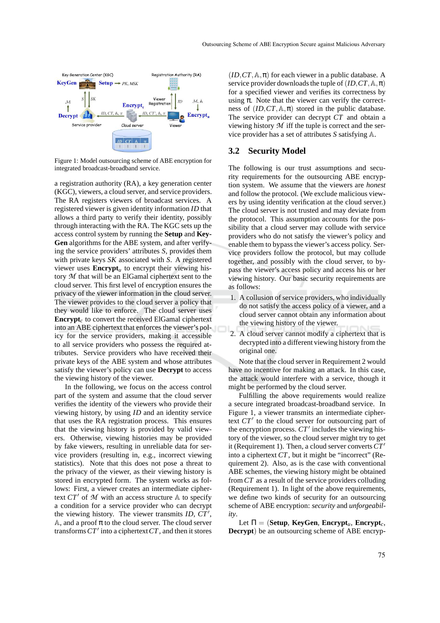

Figure 1: Model outsourcing scheme of ABE encryption for integrated broadcast-broadband service.

a registration authority (RA), a key generation center (KGC), viewers, a cloud server, and service providers. The RA registers viewers of broadcast services. A registered viewer is given identity information *ID* that allows a third party to verify their identity, possibly through interacting with the RA. The KGC sets up the access control system by running the **Setup** and **Key-Gen** algorithms for the ABE system, and after verifying the service providers' attributes *S*, provides them with private keys *SK* associated with *S*. A registered viewer uses **Encrypt**<sub>*u*</sub> to encrypt their viewing history *M* that will be an ElGamal ciphertext sent to the cloud server. This first level of encryption ensures the privacy of the viewer information in the cloud server. The viewer provides to the cloud server a policy that they would like to enforce. The cloud server uses **Encrypt** $_c$  to convert the received ElGamal ciphertext into an ABE ciphertext that enforces the viewer's policy for the service providers, making it accessible to all service providers who possess the required attributes. Service providers who have received their private keys of the ABE system and whose attributes satisfy the viewer's policy can use **Decrypt** to access the viewing history of the viewer.

In the following, we focus on the access control part of the system and assume that the cloud server verifies the identity of the viewers who provide their viewing history, by using *ID* and an identity service that uses the RA registration process. This ensures that the viewing history is provided by valid viewers. Otherwise, viewing histories may be provided by fake viewers, resulting in unreliable data for service providers (resulting in, e.g., incorrect viewing statistics). Note that this does not pose a threat to the privacy of the viewer, as their viewing history is stored in encrypted form. The system works as follows: First, a viewer creates an intermediate ciphertext  $CT'$  of  $M$  with an access structure  $A$  to specify a condition for a service provider who can decrypt the viewing history. The viewer transmits *ID*, *CT*′ , A, and a proof  $\pi$  to the cloud server. The cloud server transforms*CT*′ into a ciphertext*CT*, and then it stores

 $(ID, CT, A, \pi)$  for each viewer in a public database. A service provider downloads the tuple of  $(ID, CT, \mathbb{A}, \pi)$ for a specified viewer and verifies its correctness by using  $\pi$ . Note that the viewer can verify the correctness of  $(ID, CT, \mathbb{A}, \pi)$  stored in the public database. The service provider can decrypt *CT* and obtain a viewing history *M* iff the tuple is correct and the service provider has a set of attributes *S* satisfying A.

#### **3.2 Security Model**

The following is our trust assumptions and security requirements for the outsourcing ABE encryption system. We assume that the viewers are *honest* and follow the protocol. (We exclude malicious viewers by using identity verification at the cloud server.) The cloud server is not trusted and may deviate from the protocol. This assumption accounts for the possibility that a cloud server may collude with service providers who do not satisfy the viewer's policy and enable them to bypass the viewer's access policy. Service providers follow the protocol, but may collude together, and possibly with the cloud server, to bypass the viewer's access policy and access his or her viewing history. Our basic security requirements are as follows:

- 1. A collusion of service providers, who individually do not satisfy the access policy of a viewer, and a cloud server cannot obtain any information about the viewing history of the viewer.
- 2. A cloud server cannot modify a ciphertext that is decrypted into a different viewing history from the original one.

Note that the cloud server in Requirement 2 would have no incentive for making an attack. In this case, the attack would interfere with a service, though it might be performed by the cloud server.

Fulfilling the above requirements would realize a secure integrated broadcast-broadband service. In Figure 1, a viewer transmits an intermediate ciphertext *CT*′ to the cloud server for outsourcing part of the encryption process. *CT*′ includes the viewing history of the viewer, so the cloud server might try to get it (Requirement 1). Then, a cloud server converts*CT*′ into a ciphertext *CT*, but it might be "incorrect" (Requirement 2). Also, as is the case with conventional ABE schemes, the viewing history might be obtained from *CT* as a result of the service providers colluding (Requirement 1). In light of the above requirements, we define two kinds of security for an outsourcing scheme of ABE encryption: *security* and *unforgeability*.

Let  $\Pi = (\text{Setup, KeyGen, Encryption}_{u}, \text{Encryption})$ **Decrypt**) be an outsourcing scheme of ABE encryp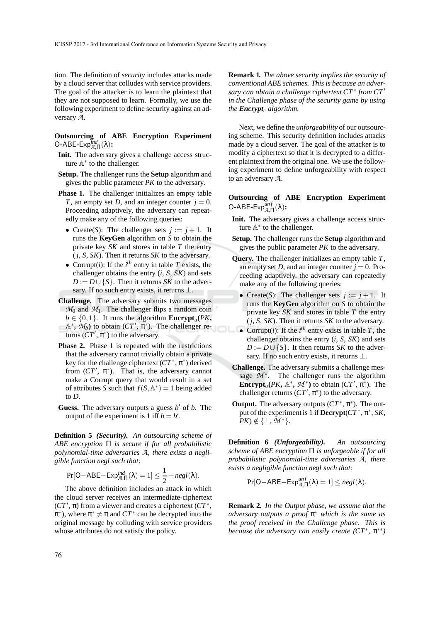tion. The definition of *security* includes attacks made by a cloud server that colludes with service providers. The goal of the attacker is to learn the plaintext that they are not supposed to learn. Formally, we use the following experiment to define security against an adversary *A*.

## **Outsourcing of ABE Encryption Experiment** O**-**ABE**-**Exp*ind <sup>A</sup>*,Π(λ)**:**

- **Init.** The adversary gives a challenge access structure  $\mathbb{A}^*$  to the challenger.
- **Setup.** The challenger runs the **Setup** algorithm and gives the public parameter *PK* to the adversary.
- **Phase 1.** The challenger initializes an empty table *T*, an empty set *D*, and an integer counter  $j = 0$ . Proceeding adaptively, the adversary can repeatedly make any of the following queries:
	- Create(S): The challenger sets  $j := j + 1$ . It runs the **KeyGen** algorithm on *S* to obtain the private key *SK* and stores in table *T* the entry  $(j, S, SK)$ . Then it returns *SK* to the adversary.
	- Corrupt(*i*): If the  $i^{th}$  entry in table *T* exists, the challenger obtains the entry (*i*, *S*, *SK*) and sets  $D := D \cup \{S\}$ . Then it returns *SK* to the adversary. If no such entry exists, it returns  $\perp$ .
- **Challenge.** The adversary submits two messages  $M_0$  and  $M_1$ . The challenger flips a random coin  $b \in \{0, 1\}$ . It runs the algorithm **Encrypt**<sub>*u*</sub>(*PK***,**  $\mathbb{A}^*$ ,  $\mathcal{M}_b$ ) to obtain  $(CT', \pi^*)$ . The challenger returns  $(CT', \pi^*)$  to the adversary.
- **Phase 2.** Phase 1 is repeated with the restrictions that the adversary cannot trivially obtain a private key for the challenge ciphertext  $(CT^*, \pi^*)$  derived from  $(CT', \pi^*)$ . That is, the adversary cannot make a Corrupt query that would result in a set of attributes *S* such that  $f(S, \mathbb{A}^*) = 1$  being added to *D*.
- **Guess.** The adversary outputs a guess *b* ′ of *b*. The output of the experiment is 1 iff  $b = b'$ .

**Definition 5** *(Security). An outsourcing scheme of ABE encryption* Π *is secure if for all probabilistic polynomial-time adversaries A, there exists a negligible function negl such that:*

$$
Pr[O-ABE-Exp_{\mathcal{A},\Pi}^{ind}(\lambda)=1] \leq \frac{1}{2}+negl(\lambda).
$$

The above definition includes an attack in which the cloud server receives an intermediate-ciphertext (*CT*′ , π) from a viewer and creates a ciphertext (*CT*∗ ,  $\pi^*$ ), where  $\pi^* \neq \pi$  and  $CT^*$  can be decrypted into the original message by colluding with service providers whose attributes do not satisfy the policy.

**Remark 1***. The above security implies the security of conventional ABE schemes. This is because an adversary can obtain a challenge ciphertext CT*∗ *from CT*′ *in the Challenge phase of the security game by using the Encrypt<sup>c</sup> algorithm.*

Next, we define the *unforgeability* of our outsourcing scheme. This security definition includes attacks made by a cloud server. The goal of the attacker is to modify a ciphertext so that it is decrypted to a different plaintext from the original one. We use the following experiment to define unforgeability with respect to an adversary *A*.

# **Outsourcing of ABE Encryption Experiment**  $O$ -ABE-Exp $_{A,\Pi}^{unf}(\lambda)$ :

- **Init.** The adversary gives a challenge access structure  $\mathbb{A}^*$  to the challenger.
- **Setup.** The challenger runs the **Setup** algorithm and gives the public parameter *PK* to the adversary.
- **Query.** The challenger initializes an empty table *T*, an empty set *D*, and an integer counter  $j = 0$ . Proceeding adaptively, the adversary can repeatedly make any of the following queries:
	- Create(*S*): The challenger sets  $j := j + 1$ . It runs the **KeyGen** algorithm on *S* to obtain the private key *SK* and stores in table *T* the entry (*j*, *S*, *SK*). Then it returns *SK* to the adversary.
	- Corrupt(*i*): If the  $i^{th}$  entry exists in table *T*, the challenger obtains the entry (*i*, *S*, *SK*) and sets  $D := D \cup \{S\}$ . It then returns *SK* to the adversary. If no such entry exists, it returns  $\perp$ .
- **Challenge.** The adversary submits a challenge message  $\mathcal{M}^*$ . The challenger runs the algorithm **Encrypt**<sub>u</sub> $(PK, \mathbb{A}^*, \mathcal{M}^*)$  to obtain  $(CT', \pi^*)$ . The challenger returns  $(CT', \pi^*)$  to the adversary.
- **Output.** The adversary outputs  $(CT^*, \pi^*)$ . The output of the experiment is 1 if **Decrypt**( $CT^*, \pi^*, SK$ ,  $PK$ )  $\notin \{\perp, \mathcal{M}^*\}.$

**Definition 6** *(Unforgeability). An outsourcing scheme of ABE encryption* Π *is unforgeable if for all probabilistic polynomial-time adversaries A, there exists a negligible function negl such that:*

$$
Pr[O-ABE-Exp_{A,\Pi}^{unf}(\lambda)=1] \le negl(\lambda).
$$

**Remark 2***. In the Output phase, we assume that the adversary outputs a proof* π ∗ *which is the same as the proof received in the Challenge phase. This is because the adversary can easily create (CT*∗ *,* π ∗∗*)*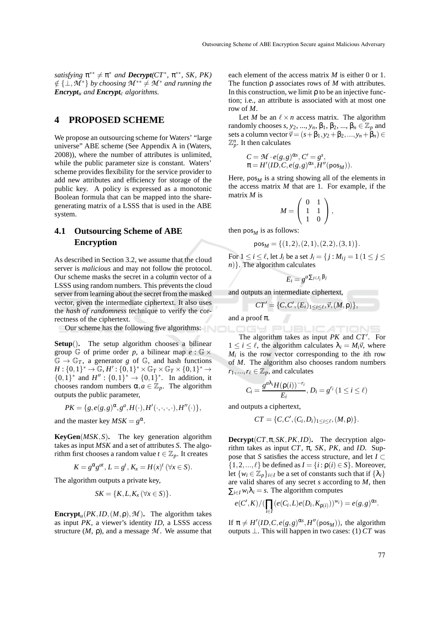$satisfying \pi^{**} \neq \pi^*$  *and*  $\text{Decrypt}(CT^*, \pi^{**}, SK, PK)$  $\notin$  {⊥, M<sup>\*</sup>} *by choosing*  $M^{**} \neq M^*$  *and running the Encrypt<sup>u</sup> and Encrypt<sup>c</sup> algorithms.*

# **4 PROPOSED SCHEME**

We propose an outsourcing scheme for Waters' "large universe" ABE scheme (See Appendix A in (Waters, 2008)), where the number of attributes is unlimited, while the public parameter size is constant. Waters' scheme provides flexibility for the service provider to add new attributes and efficiency for storage of the public key. A policy is expressed as a monotonic Boolean formula that can be mapped into the sharegenerating matrix of a LSSS that is used in the ABE system.

# **4.1 Outsourcing Scheme of ABE Encryption**

As described in Section 3.2, we assume that the cloud server is *malicious* and may not follow the protocol. Our scheme masks the secret in a column vector of a LSSS using random numbers. This prevents the cloud server from learning about the secret from the masked vector, given the intermediate ciphertext. It also uses the *hash of randomness* technique to verify the correctness of the ciphertext.

Our scheme has the following five algorithms:

**Setup**()**.** The setup algorithm chooses a bilinear group  $\mathbb G$  of prime order p, a bilinear map  $e : \mathbb G \times$  $\mathbb{G} \to \mathbb{G}_T$ , a generator *g* of  $\mathbb{G}$ , and hash functions *H* : {0, 1}<sup>\*</sup> → <del>C</del>, *H'* : {0, 1}<sup>\*</sup> × C<sub>*T*</sub> × C<sub>*T*</sub> × {0, 1}<sup>\*</sup> →  ${0,1}^*$  and  $H'' : {0,1}^* \rightarrow {0,1}^*$ . In addition, it chooses random numbers  $\alpha, a \in \mathbb{Z}_n$ . The algorithm outputs the public parameter,

$$
PK = \{g, e(g, g)^{\alpha}, g^a, H(\cdot), H'(\cdot, \cdot, \cdot, \cdot), H''(\cdot)\},
$$

and the master key  $MSK = g^{\alpha}$ .

**KeyGen**(*MSK*,*S*)**.** The key generation algorithm takes as input *MSK* and a set of attributes *S*. The algorithm first chooses a random value  $t \in \mathbb{Z}_p$ . It creates

$$
K = g^{\alpha} g^{at}, L = g^t, K_x = H(x)^t \ (\forall x \in S).
$$

The algorithm outputs a private key,

$$
SK = \{K, L, K_x \, (\forall x \in S)\}.
$$

**Encrypt**<sub>*u*</sub>( $PK$ ,*ID*,( $M$ , $\rho$ ), $M$ ). The algorithm takes as input *PK*, a viewer's identity *ID*, a LSSS access structure  $(M, \rho)$ , and a message  $M$ . We assume that each element of the access matrix *M* is either 0 or 1. The function ρ associates rows of *M* with attributes. In this construction, we limit  $\rho$  to be an injective function; i.e., an attribute is associated with at most one row of *M*.

Let *M* be an  $\ell \times n$  access matrix. The algorithm randomly chooses *s*,  $y_2$ , ...,  $y_n$ ,  $\beta_1$ ,  $\beta_2$ , ...,  $\beta_n \in \mathbb{Z}_p$  and sets a column vector  $\vec{v} = (s + \beta_1, y_2 + \beta_2, ..., y_n + \beta_n) \in$  $\mathbb{Z}_p^n$ . It then calculates

$$
C = \mathcal{M} \cdot e(g, g)^{\alpha s}, C' = g^{s},
$$
  

$$
\pi = H'(ID, C, e(g, g)^{\alpha s}, H''(pos_M)).
$$

Here,  $pos_M$  is a string showing all of the elements in the access matrix *M* that are 1. For example, if the matrix *M* is  $\sqrt{2}$ 

$$
M = \left(\begin{array}{cc} 0 & 1 \\ 1 & 1 \\ 1 & 0 \end{array}\right),
$$

then  $pos_M$  is as follows:

$$
pos_M = \{(1,2), (2,1), (2,2), (3,1)\}.
$$

For  $1 \leq i \leq \ell$ , let  $J_i$  be a set  $J_i = \{j : M_{ij} = 1 \mid 1 \leq j \leq \ell\}$ *n*). The algorithm calculates

$$
E_i = g^{a \sum_{j \in J_i} \beta_j}
$$

and outputs an intermediate ciphertext,

$$
CT' = \{C, C', (E_i)_{1 \leq i \leq \ell}, \vec{v}, (M, \rho)\},\
$$

and a proof  $\pi$ .

OGY PUBLICATIONS The algorithm takes as input *PK* and *CT*′ . For  $1 \leq i \leq \ell$ , the algorithm calculates  $\lambda_i = M_i \vec{v}$ , where *Mi* is the row vector corresponding to the *i*th row of *M*. The algorithm also chooses random numbers  $r_1, ..., r_\ell \in \mathbb{Z}_p$ , and calculates

$$
C_i = \frac{g^{a\lambda_i} H(\rho(i))^{-r_i}}{E_i}, D_i = g^{r_i} (1 \leq i \leq \ell)
$$

and outputs a ciphertext,

$$
CT = \{C, C', (C_i, D_i)_{1 \leq i \leq \ell}, (M, \rho)\}.
$$

**Decrypt**( $CT, \pi, SK, PK, ID$ ). The decryption algorithm takes as input *CT*, π, *SK*, *PK*, and *ID*. Suppose that *S* satisfies the access structure, and let  $I \subset$  $\{1,2,...,\ell\}$  be defined as  $I = \{i : \rho(i) \in S\}$ . Moreover, let  $\{w_i \in \mathbb{Z}_p\}_{i \in I}$  be a set of constants such that if  $\{\lambda_i\}$ are valid shares of any secret *s* according to *M*, then  $\sum_{i \in I} w_i \lambda_i = s$ . The algorithm computes

$$
e(C',K)/(\prod_{i\in I}(e(C_i,L)e(D_i,K_{\rho(i)}))^{w_i})=e(g,g)^{\alpha s}.
$$

If  $\pi \neq H'(ID, C, e(g, g)^{\alpha s}, H''(\text{pos}_M))$ , the algorithm outputs ⊥. This will happen in two cases:  $(1)$  *CT* was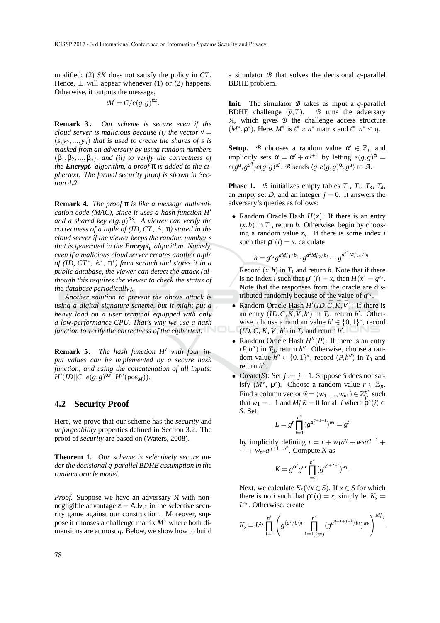modified; (2) *SK* does not satisfy the policy in *CT*. Hence,  $\perp$  will appear whenever (1) or (2) happens. Otherwise, it outputs the message,

$$
\mathcal{M}=C/e(g,g)^{\alpha s}.
$$

**Remark 3** *. Our scheme is secure even if the cloud server is malicious because (i) the vector*  $\vec{v}$  =  $(s, y_2, \ldots, y_n)$  *that is used to create the shares of s is masked from an adversary by using random numbers* (β1,β2,...,β*n*)*, and (ii) to verify the correctness of the Encrypt<sub>c</sub> algorithm, a proof*  $\pi$  *is added to the ciphertext. The formal security proof is shown in Section 4.2.*

**Remark 4***. The proof* π *is like a message authentication code (MAC), since it uses a hash function H*′ *and a shared key e*(*g*,*g*) α*s . A viewer can verify the correctness of a tuple of (ID, CT ,* A*,* π*) stored in the cloud server if the viewer keeps the random number s that is generated in the Encrypt<sup>u</sup> algorithm. Namely, even if a malicious cloud server creates another tuple of (ID, CT*∗ *,* A ∗ *,* π ∗ *) from scratch and stores it in a public database, the viewer can detect the attack (although this requires the viewer to check the status of the database periodically).*

*Another solution to prevent the above attack is using a digital signature scheme, but it might put a heavy load on a user terminal equipped with only a low-performance CPU. That's why we use a hash function to verify the correctness of the ciphertext.*

**Remark 5***. The hash function H*′ *with four input values can be implemented by a secure hash function, and using the concatenation of all inputs:*  $H'(ID||C||e(g,g)^{\alpha s}||H''(\text{pos}_M)).$ 

#### **4.2 Security Proof**

Here, we prove that our scheme has the *security* and *unforgeability* properties defined in Section 3.2. The proof of *security* are based on (Waters, 2008).

**Theorem 1***. Our scheme is selectively secure under the decisional q-parallel BDHE assumption in the random oracle model.*

*Proof.* Suppose we have an adversary *A* with nonnegligible advantage  $\varepsilon = A d v_g$  in the selective security game against our construction. Moreover, suppose it chooses a challenge matrix *M*∗ where both dimensions are at most *q*. Below, we show how to build a simulator *B* that solves the decisional *q*-parallel BDHE problem.

**Init.** The simulator *B* takes as input a *q*-parallel BDHE challenge  $(\vec{v}, T)$ . *B* runs the adversary *A*, which gives *B* the challenge access structure  $(M^*, \rho^*)$ . Here,  $M^*$  is  $\ell^* \times n^*$  matrix and  $\ell^*, n^* \leq q$ .

**Setup.** *B* chooses a random value  $\alpha' \in \mathbb{Z}_p$  and implicitly sets  $\alpha = \alpha' + a^{q+1}$  by letting  $e(g, g)^\alpha =$  $e(g^a, g^{a^q})e(g, g)^{\alpha'}$ . *B* sends  $\langle g, e(g, g)^{\alpha}, g^a \rangle$  to *A*.

**Phase 1.** *B* initializes empty tables  $T_1$ ,  $T_2$ ,  $T_3$ ,  $T_4$ , an empty set *D*, and an integer  $j = 0$ . It answers the adversary's queries as follows:

• Random Oracle Hash  $H(x)$ : If there is an entry  $(x, h)$  in  $T_1$ , return *h*. Otherwise, begin by choosing a random value  $z_x$ . If there is some index *i* such that  $\rho^*(i) = x$ , calculate

$$
h = g^{z_x} g^{aM_{i,1}^*/b_i} \cdot g^{a^2 M_{i,2}^*/b_i} \cdots g^{a^{n^*} M_{i,n^*}^*/b_i}.
$$

Record  $(x,h)$  in  $T_1$  and return *h*. Note that if there is no index *i* such that  $\rho^*(i) = x$ , then  $H(x) = g^{z_x}$ . Note that the responses from the oracle are distributed randomly because of the value of  $g^{z_x}$ .

- Random Oracle Hash  $H'(ID, \bar{C}, \bar{K}, \bar{V})$ : If there is an entry  $(ID, \bar{C}, \bar{K}, \bar{V}, h')$  in  $T_2$ , return  $h'$ . Otherwise, choose a random value  $h' \in \{0,1\}^*$ , record  $(ID, \bar{C}, \bar{K}, \bar{V}, h')$  in  $T_2$  and return  $h'$ .
- Random Oracle Hash  $H''(P)$ : If there is an entry  $(P, h'')$  in  $T_3$ , return  $h''$ . Otherwise, choose a random value  $h'' \in \{0,1\}^*$ , record  $(P, h'')$  in  $T_3$  and return *h* ′′ .
- Create(S): Set  $j := j + 1$ . Suppose *S* does not satisfy  $(M^*, \rho^*)$ . Choose a random value  $r \in \mathbb{Z}_p$ . Find a column vector  $\vec{w} = (w_1, ..., w_{n^*}) \in \mathbb{Z}_{p}^{n^*}$  such that  $w_1 = -1$  and  $M_i^* \vec{w} = 0$  for all *i* where  $\rho^*(i) \in$ *S*. Set

$$
L = g^r \prod_{i=1}^{n^*} (g^{a^{q+1-i}})^{w_i} = g^t
$$

by implicitly defining  $t = r + w_1 a^q + w_2 a^{q-1} +$  $\cdots + w_{n^*} a^{q+1-n^*}$ . Compute *K* as

$$
K = g^{\alpha'} g^{ar} \prod_{i=2}^{n^*} (g^{a^{q+2-i}})^{w_i}.
$$

Next, we calculate  $K_x(\forall x \in S)$ . If  $x \in S$  for which there is no *i* such that  $\rho^*(i) = x$ , simply let  $K_x =$ *L zx* . Otherwise, create

$$
K_{x} = L^{z_{x}} \prod_{j=1}^{n^{*}} \left( g^{(a^{j}/b_{i})r} \prod_{k=1, k \neq j}^{n^{*}} (g^{a^{q+1+j-k}/b_{i}})^{w_{k}} \right)^{M_{i,j}^{*}}.
$$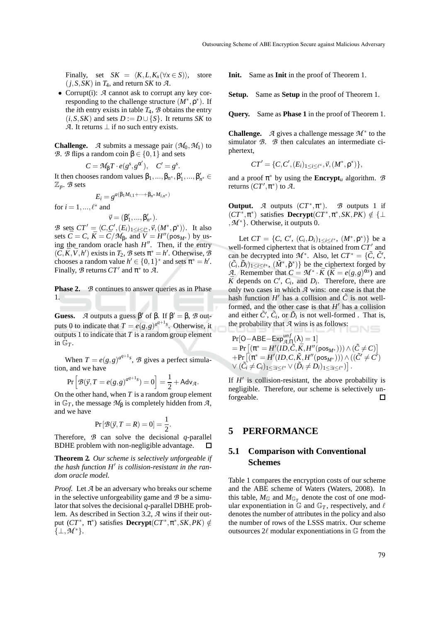Finally, set  $SK = \langle K, L, K_x(\forall x \in S) \rangle$ , store  $(j, S, SK)$  in  $T_4$ , and return *SK* to  $A$ .

• Corrupt(i): *<sup>A</sup>* cannot ask to corrupt any key corresponding to the challenge structure (*M*∗ ,ρ ∗ ). If the *i*th entry exists in table  $T_4$ ,  $\beta$  obtains the entry  $(i, S, SK)$  and sets  $D := D \cup \{S\}$ . It returns *SK* to *A*. It returns  $\perp$  if no such entry exists.

**Challenge.** *A* submits a message pair  $(\mathcal{M}_0, \mathcal{M}_1)$  to *B*. *B* flips a random coin  $β ∈ {0,1}$  and sets

$$
C = \mathcal{M}_{\beta} T \cdot e(g^s, g^{\alpha'}), \quad C' = g^s
$$

.

It then chooses random values  $\beta_1, ..., \beta_{n^*}, \beta'_1, ..., \beta'_{n^*} \in \mathbb{R}$ Z*p*. *B* sets

$$
E_i = g^{a(\beta_1 M_{i,1} + \dots + \beta_{n^*} M_{i,n^*})}
$$

for  $i = 1, ..., \ell^*$  and

$$
\vec{\nu} = (\beta'_1, ..., \beta'_{n^*}).
$$

*B* sets  $CT' = \langle C, C', (E_i)_{1 \leq i \leq \ell^*, \vec{V}}, (M^*, \rho^*) \rangle$ . It also sets  $\bar{C} = C$ ,  $\bar{K} = \bar{C}/M_0$ , and  $\bar{V} = H''(\text{pos}_{M^*})$  by using the random oracle hash *H* ′′. Then, if the entry  $(\overrightarrow{C}, \overrightarrow{K}, \overrightarrow{V}, h')$  exists in  $T_2$ ,  $\mathcal{B}$  sets  $\pi^* = h'$ . Otherwise,  $\overrightarrow{\mathcal{B}}$ chooses a random value  $h' \in \{0,1\}^*$  and sets  $\pi^* = h'$ . Finally,  $\mathcal B$  returns  $CT'$  and  $\pi^*$  to  $\mathcal A$ .

**Phase 2.** *B* continues to answer queries as in Phase 1.

**Guess.** *A* outputs a guess  $\beta'$  of  $\beta$ . If  $\beta' = \beta$ , *B* outputs 0 to indicate that  $T = e(g, g)^{a^{q+1}s}$ . Otherwise, it outputs 1 to indicate that *T* is a random group element in  $\mathbb{G}_T$ .

When  $T = e(g, g)^{a^{q+1}s}$ , *B* gives a perfect simulation, and we have

$$
\Pr\left[\mathcal{B}(\vec{y},T=e(g,g)^{a^{q+1}s})=0\right]=\frac{1}{2}+\mathsf{Adv}_{\mathcal{A}}.
$$

On the other hand, when *T* is a random group element in  $\mathbb{G}_T$ , the message  $\mathcal{M}_\beta$  is completely hidden from  $\mathcal{A}$ , and we have

$$
Pr[\mathcal{B}(\vec{y}, T = R) = 0] = \frac{1}{2}.
$$

Therefore, *B* can solve the decisional *q*-parallel BDHE problem with non-negligible advantage.  $\Box$ 

**Theorem 2***. Our scheme is selectively unforgeable if the hash function H*′ *is collision-resistant in the random oracle model.*

*Proof.* Let *A* be an adversary who breaks our scheme in the selective unforgeability game and *B* be a simulator that solves the decisional *q*-parallel DBHE problem. As described in Section 3.2, *A* wins if their output  $(CT^*, \pi^*, SK, PK) \notin$  $\{\perp, \mathcal{M}^*\}.$ 

**Init.** Same as **Init** in the proof of Theorem 1.

**Setup.** Same as **Setup** in the proof of Theorem 1.

**Query.** Same as **Phase 1** in the proof of Theorem 1.

**Challenge.** *A* gives a challenge message  $M^*$  to the simulator *B*. *B* then calculates an intermediate ciphertext,

$$
CT' = \{C, C', (E_i)_{1 \leq i \leq \ell^*}, \vec{v}, (M^*, \rho^*)\},\
$$

and a proof  $\pi^*$  by using the **Encrypt**<sub>*u*</sub> algorithm.  $\mathcal{B}$ returns  $(CT', \pi^*)$  to A.

**Output.** *A* outputs  $(CT^*, \pi^*)$ . *B* outputs 1 if  $(CT^*, \pi^*)$  satisfies **Decrypt** $(CT^*, \pi^*, SK, PK) \notin {\perp}$ ,*<sup>M</sup>* <sup>∗</sup>}. Otherwise, it outputs 0.

Let  $CT = \{C, C', (C_i, D_i)_{1 \leq i \leq \ell^*}, (M^*, \rho^*)\}$  be a well-formed ciphertext that is obtained from *CT*′ and can be decrypted into  $\mathcal{M}^*$ . Also, let  $CT^* = \{\tilde{C}, \tilde{C}', \}$  $(\tilde{C}_i, \tilde{D}_i)_{1 \leq i \leq \ell^*}, (\tilde{M}^*, \tilde{\rho}^*)\}$  be the ciphertext forged by *A*. Remember that  $C = M^* \cdot \overline{K}$  ( $\overline{K} = e(g, g)$ <sup> $\alpha s$ </sup>) and  $\bar{K}$  depends on  $C'$ ,  $C_i$ , and  $D_i$ . Therefore, there are only two cases in which *A* wins: one case is that the hash function  $H'$  has a collision and  $\tilde{C}$  is not wellformed, and the other case is that  $H'$  has a collision and either  $\tilde{C}'$ ,  $\tilde{C}_i$ , or  $\tilde{D}_i$  is not well-formed. That is, the probability that *A* wins is as follows:

$$
Pr[O-ABE-Exp_{\mathcal{A},\Pi}^{unf}(\lambda) = 1]
$$
  
= Pr [( $\pi^* = H'(ID, \tilde{C}, \bar{K}, H''(pos_{M^*}))) \wedge (\tilde{C} \neq C)$ ]  
+ Pr [ $(\pi^* = H'(ID, C, \tilde{K}, H''(pos_{M^*}))) \wedge ((\tilde{C}' \neq C')$   
 $\vee (\tilde{C}_i \neq C_i)_{1 \leq \exists i \leq \ell^*} \vee (\tilde{D}_i \neq D_i)_{1 \leq \exists i \leq \ell^*})$ ].

If  $H'$  is collision-resistant, the above probability is negligible. Therefore, our scheme is selectively unforgeable.  $\Box$ 

## **5 PERFORMANCE**

## **5.1 Comparison with Conventional Schemes**

Table 1 compares the encryption costs of our scheme and the ABE scheme of Waters (Waters, 2008). In this table,  $M_{\mathbb{G}}$  and  $M_{\mathbb{G}_T}$  denote the cost of one modular exponentiation in  $\mathbb{G}$  and  $\mathbb{G}_T$ , respectively, and  $\ell$ denotes the number of attributes in the policy and also the number of rows of the LSSS matrix. Our scheme outsources  $2\ell$  modular exponentiations in  $\mathbb G$  from the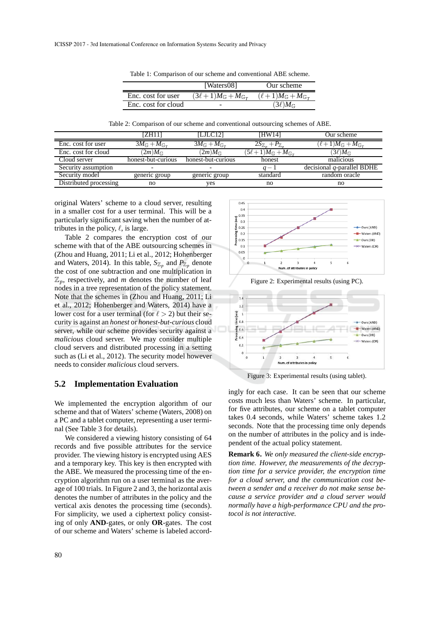|                     | [Waters08]                                 | Our scheme                                |
|---------------------|--------------------------------------------|-------------------------------------------|
| Enc. cost for user  | $(3\ell+1)M_{\mathbb{G}}+M_{\mathbb{G}_T}$ | $(\ell+1)M_{\mathbb{G}}+M_{\mathbb{G}_T}$ |
| Enc. cost for cloud | -                                          | $(3\ell)M_{\mathbb{G}}$                   |

Table 1: Comparison of our scheme and conventional ABE scheme.

Table 2: Comparison of our scheme and conventional outsourcing schemes of ABE.

|                        | [ZH11                  | [LJLC12]               | <b>IHW141</b>                              | Our scheme                              |
|------------------------|------------------------|------------------------|--------------------------------------------|-----------------------------------------|
| Enc. cost for user     | $3M_{\rm G}+M_{\rm G}$ | $3M_{\rm G}+M_{\rm G}$ | $2S_{\mathbb{Z}_p}$<br>$+P_{\mathbb{Z}_p}$ | $(\ell+1)M_\mathbb{G}+M_{\mathbb{G}_T}$ |
| Enc. cost for cloud    | $2m)M_{\odot}$         | $(2m)M_{\odot}$        | $(5\ell+1)M_{\mathbb{G}}+M_{\mathbb{G}_T}$ | $(3\ell)M$ c                            |
| Cloud server           | honest-but-curious     | honest-but-curious     | honest                                     | malicious                               |
| Security assumption    |                        |                        | $a -$                                      | decisional $q$ -parallel BDHE           |
| Security model         | generic group          | generic group          | standard                                   | random oracle                           |
| Distributed processing | no                     | ves                    | no                                         | no                                      |

original Waters' scheme to a cloud server, resulting in a smaller cost for a user terminal. This will be a particularly significant saving when the number of attributes in the policy,  $\ell$ , is large.

Table 2 compares the encryption cost of our scheme with that of the ABE outsourcing schemes in (Zhou and Huang, 2011; Li et al., 2012; Hohenberger and Waters, 2014). In this table,  $S_{\mathbb{Z}_p}$  and  $P_{\mathbb{Z}_p}$  denote the cost of one subtraction and one multiplication in  $\mathbb{Z}_p$ , respectively, and *m* denotes the number of leaf nodes in a tree representation of the policy statement. Note that the schemes in (Zhou and Huang, 2011; Li et al., 2012; Hohenberger and Waters, 2014) have a lower cost for a user terminal (for  $\ell > 2$ ) but their security is against an *honest* or *honest-but-curious* cloud server, while our scheme provides security against a *malicious* cloud server. We may consider multiple cloud servers and distributed processing in a setting such as (Li et al., 2012). The security model however needs to consider *malicious* cloud servers.

#### **5.2 Implementation Evaluation**

We implemented the encryption algorithm of our scheme and that of Waters' scheme (Waters, 2008) on a PC and a tablet computer, representing a user terminal (See Table 3 for details).

We considered a viewing history consisting of 64 records and five possible attributes for the service provider. The viewing history is encrypted using AES and a temporary key. This key is then encrypted with the ABE. We measured the processing time of the encryption algorithm run on a user terminal as the average of 100 trials. In Figure 2 and 3, the horizontal axis denotes the number of attributes in the policy and the vertical axis denotes the processing time (seconds). For simplicity, we used a ciphertext policy consisting of only **AND**-gates, or only **OR**-gates. The cost of our scheme and Waters' scheme is labeled accord-



Figure 2: Experimental results (using PC).



Figure 3: Experimental results (using tablet).

ingly for each case. It can be seen that our scheme costs much less than Waters' scheme. In particular, for five attributes, our scheme on a tablet computer takes 0.4 seconds, while Waters' scheme takes 1.2 seconds. Note that the processing time only depends on the number of attributes in the policy and is independent of the actual policy statement.

**Remark 6***. We only measured the client-side encryption time. However, the measurements of the decryption time for a service provider, the encryption time for a cloud server, and the communication cost between a sender and a receiver do not make sense because a service provider and a cloud server would normally have a high-performance CPU and the protocol is not interactive.*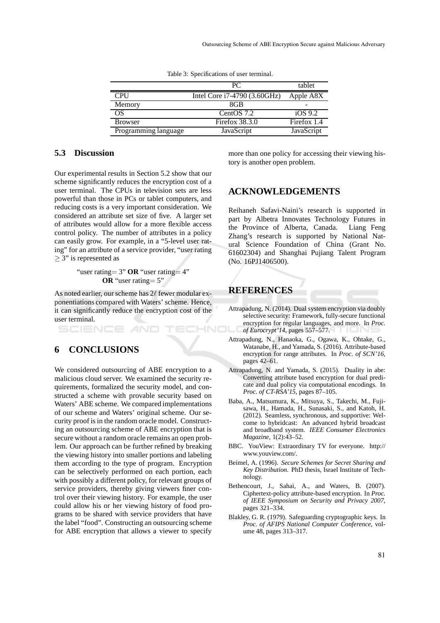|                      | PC.                          | tablet      |
|----------------------|------------------------------|-------------|
| <b>CPU</b>           | Intel Core i7-4790 (3.60GHz) | Apple A8X   |
| Memory               | 8GB                          |             |
| OS                   | CentOS 7.2                   | iOS 9.2     |
| <b>Browser</b>       | Firefox $38.3.0$             | Firefox 1.4 |
| Programming language | JavaScript                   | JavaScript  |

Table 3: Specifications of user terminal.

#### **5.3 Discussion**

Our experimental results in Section 5.2 show that our scheme significantly reduces the encryption cost of a user terminal. The CPUs in television sets are less powerful than those in PCs or tablet computers, and reducing costs is a very important consideration. We considered an attribute set size of five. A larger set of attributes would allow for a more flexible access control policy. The number of attributes in a policy can easily grow. For example, in a "5-level user rating" for an attribute of a service provider, "user rating  $\geq$  3" is represented as

> "user rating= 3" **OR** "user rating= 4" **OR** "user rating= 5"

As noted earlier, our scheme has 2ℓ fewer modular exponentiations compared with Waters' scheme. Hence, it can significantly reduce the encryption cost of the user terminal.

# **6 CONCLUSIONS**

SCIENCE *A*ND

We considered outsourcing of ABE encryption to a malicious cloud server. We examined the security requirements, formalized the security model, and constructed a scheme with provable security based on Waters' ABE scheme. We compared implementations of our scheme and Waters' original scheme. Our security proof is in the random oracle model. Constructing an outsourcing scheme of ABE encryption that is secure without a random oracle remains an open problem. Our approach can be further refined by breaking the viewing history into smaller portions and labeling them according to the type of program. Encryption can be selectively performed on each portion, each with possibly a different policy, for relevant groups of service providers, thereby giving viewers finer control over their viewing history. For example, the user could allow his or her viewing history of food programs to be shared with service providers that have the label "food". Constructing an outsourcing scheme for ABE encryption that allows a viewer to specify

more than one policy for accessing their viewing history is another open problem.

## **ACKNOWLEDGEMENTS**

Reihaneh Safavi-Naini's research is supported in part by Albetra Innovates Technology Futures in the Province of Alberta, Canada. Liang Feng Zhang's research is supported by National Natural Science Foundation of China (Grant No. 61602304) and Shanghai Pujiang Talent Program (No. 16PJ1406500).

# **REFERENCES**

- Attrapadung, N. (2014). Dual system encryption via doubly selective security: Framework, fully-secure functional encryption for regular languages, and more. In *Proc.* HNO *of Eurocrypt'14*, pages 557–577.
	- Attrapadung, N., Hanaoka, G., Ogawa, K., Ohtake, G., Watanabe, H., and Yamada, S. (2016). Attribute-based encryption for range attributes. In *Proc. of SCN'16*, pages 42–61.
	- Attrapadung, N. and Yamada, S. (2015). Duality in abe: Converting attribute based encryption for dual predicate and dual policy via computational encodings. In *Proc. of CT-RSA'15*, pages 87–105.
	- Baba, A., Matsumura, K., Mitsuya, S., Takechi, M., Fujisawa, H., Hamada, H., Sunasaki, S., and Katoh, H. (2012). Seamless, synchronous, and supportive: Welcome to hybridcast: An advanced hybrid broadcast and broadband system. *IEEE Consumer Electronics Magazine*, 1(2):43–52.
	- BBC. YouView: Extraordinary TV for everyone. http:// www.youview.com/.
	- Beimel, A. (1996). *Secure Schemes for Secret Sharing and Key Distribution*. PhD thesis, Israel Institute of Technology.
	- Bethencourt, J., Sahai, A., and Waters, B. (2007). Ciphertext-policy attribute-based encryption. In *Proc. of IEEE Symposium on Security and Privacy 2007*, pages 321–334.
	- Blakley, G. R. (1979). Safeguarding cryptographic keys. In *Proc. of AFIPS National Computer Conference*, volume 48, pages 313–317.